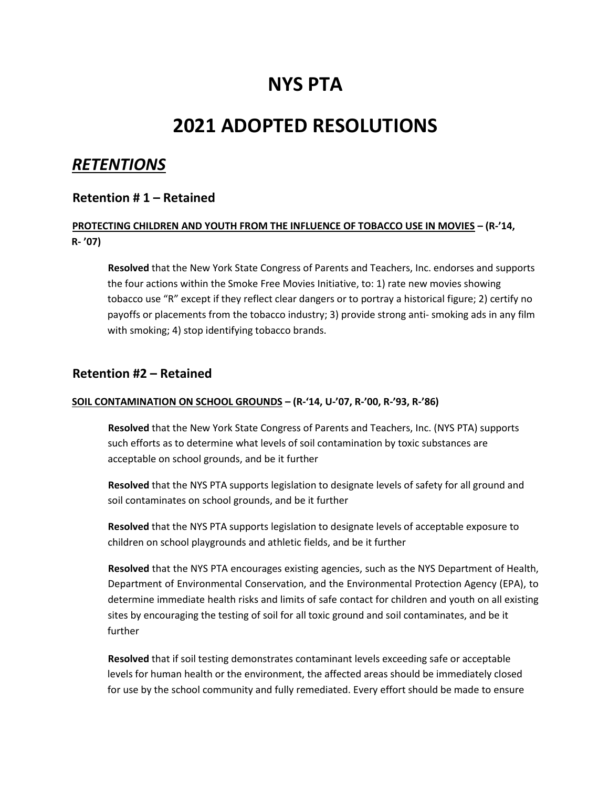# **NYS PTA**

# **2021 ADOPTED RESOLUTIONS**

# *RETENTIONS*

# **Retention # 1 – Retained**

# **PROTECTING CHILDREN AND YOUTH FROM THE INFLUENCE OF TOBACCO USE IN MOVIES – (R-'14, R‐ '07)**

**Resolved** that the New York State Congress of Parents and Teachers, Inc. endorses and supports the four actions within the Smoke Free Movies Initiative, to: 1) rate new movies showing tobacco use "R" except if they reflect clear dangers or to portray a historical figure; 2) certify no payoffs or placements from the tobacco industry; 3) provide strong anti‐ smoking ads in any film with smoking; 4) stop identifying tobacco brands.

# **Retention #2 – Retained**

#### **SOIL CONTAMINATION ON SCHOOL GROUNDS – (R-'14, U‐'07, R‐'00, R‐'93, R‐'86)**

**Resolved** that the New York State Congress of Parents and Teachers, Inc. (NYS PTA) supports such efforts as to determine what levels of soil contamination by toxic substances are acceptable on school grounds, and be it further

**Resolved** that the NYS PTA supports legislation to designate levels of safety for all ground and soil contaminates on school grounds, and be it further

**Resolved** that the NYS PTA supports legislation to designate levels of acceptable exposure to children on school playgrounds and athletic fields, and be it further

**Resolved** that the NYS PTA encourages existing agencies, such as the NYS Department of Health, Department of Environmental Conservation, and the Environmental Protection Agency (EPA), to determine immediate health risks and limits of safe contact for children and youth on all existing sites by encouraging the testing of soil for all toxic ground and soil contaminates, and be it further

**Resolved** that if soil testing demonstrates contaminant levels exceeding safe or acceptable levels for human health or the environment, the affected areas should be immediately closed for use by the school community and fully remediated. Every effort should be made to ensure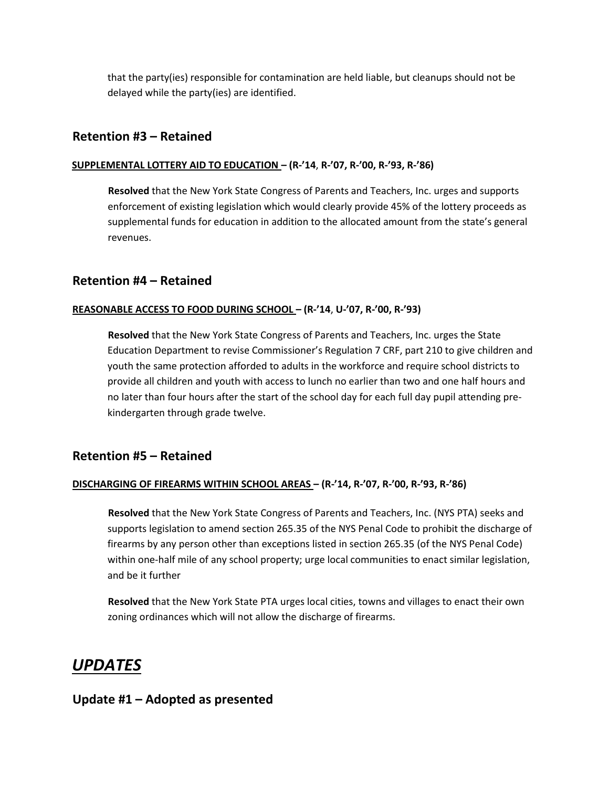that the party(ies) responsible for contamination are held liable, but cleanups should not be delayed while the party(ies) are identified.

# **Retention #3 – Retained**

#### **SUPPLEMENTAL LOTTERY AID TO EDUCATION – (R-'14**, **R‐'07, R‐'00, R‐'93, R‐'86)**

**Resolved** that the New York State Congress of Parents and Teachers, Inc. urges and supports enforcement of existing legislation which would clearly provide 45% of the lottery proceeds as supplemental funds for education in addition to the allocated amount from the state's general revenues.

# **Retention #4 – Retained**

#### **REASONABLE ACCESS TO FOOD DURING SCHOOL – (R-'14**, **U‐'07, R‐'00, R‐'93)**

**Resolved** that the New York State Congress of Parents and Teachers, Inc. urges the State Education Department to revise Commissioner's Regulation 7 CRF, part 210 to give children and youth the same protection afforded to adults in the workforce and require school districts to provide all children and youth with access to lunch no earlier than two and one half hours and no later than four hours after the start of the school day for each full day pupil attending pre‐ kindergarten through grade twelve.

## **Retention #5 – Retained**

#### **DISCHARGING OF FIREARMS WITHIN SCHOOL AREAS – (R-'14, R‐'07, R‐'00, R‐'93, R‐'86)**

**Resolved** that the New York State Congress of Parents and Teachers, Inc. (NYS PTA) seeks and supports legislation to amend section 265.35 of the NYS Penal Code to prohibit the discharge of firearms by any person other than exceptions listed in section 265.35 (of the NYS Penal Code) within one-half mile of any school property; urge local communities to enact similar legislation, and be it further

**Resolved** that the New York State PTA urges local cities, towns and villages to enact their own zoning ordinances which will not allow the discharge of firearms.

# *UPDATES*

# **Update #1 – Adopted as presented**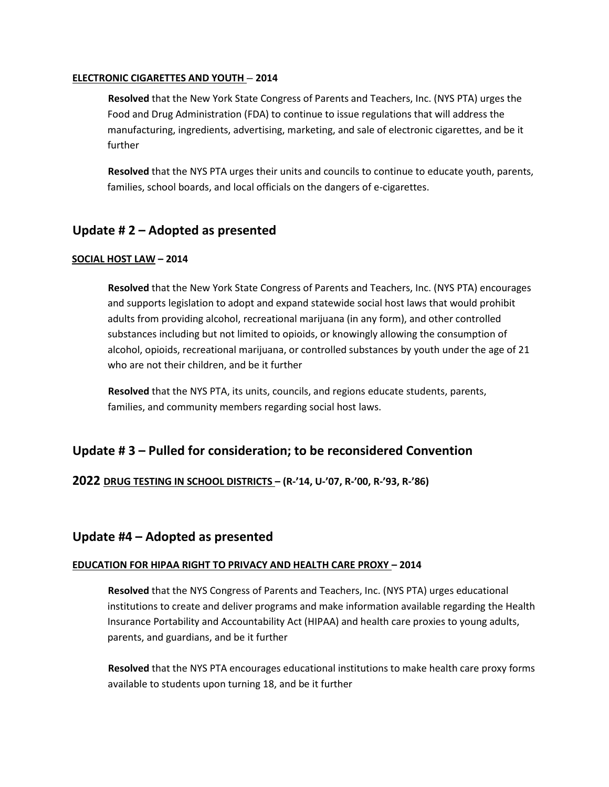#### **ELECTRONIC CIGARETTES AND YOUTH – 2014**

**Resolved** that the New York State Congress of Parents and Teachers, Inc. (NYS PTA) urges the Food and Drug Administration (FDA) to continue to issue regulations that will address the manufacturing, ingredients, advertising, marketing, and sale of electronic cigarettes, and be it further

**Resolved** that the NYS PTA urges their units and councils to continue to educate youth, parents, families, school boards, and local officials on the dangers of e-cigarettes.

# **Update # 2 – Adopted as presented**

#### **SOCIAL HOST LAW – 2014**

**Resolved** that the New York State Congress of Parents and Teachers, Inc. (NYS PTA) encourages and supports legislation to adopt and expand statewide social host laws that would prohibit adults from providing alcohol, recreational marijuana (in any form), and other controlled substances including but not limited to opioids, or knowingly allowing the consumption of alcohol, opioids, recreational marijuana, or controlled substances by youth under the age of 21 who are not their children, and be it further

**Resolved** that the NYS PTA, its units, councils, and regions educate students, parents, families, and community members regarding social host laws.

# **Update # 3 – Pulled for consideration; to be reconsidered Convention**

## **2022 DRUG TESTING IN SCHOOL DISTRICTS – (R-'14, U‐'07, R‐'00, R‐'93, R‐'86)**

# **Update #4 – Adopted as presented**

#### **EDUCATION FOR HIPAA RIGHT TO PRIVACY AND HEALTH CARE PROXY – 2014**

**Resolved** that the NYS Congress of Parents and Teachers, Inc. (NYS PTA) urges educational institutions to create and deliver programs and make information available regarding the Health Insurance Portability and Accountability Act (HIPAA) and health care proxies to young adults, parents, and guardians, and be it further

**Resolved** that the NYS PTA encourages educational institutions to make health care proxy forms available to students upon turning 18, and be it further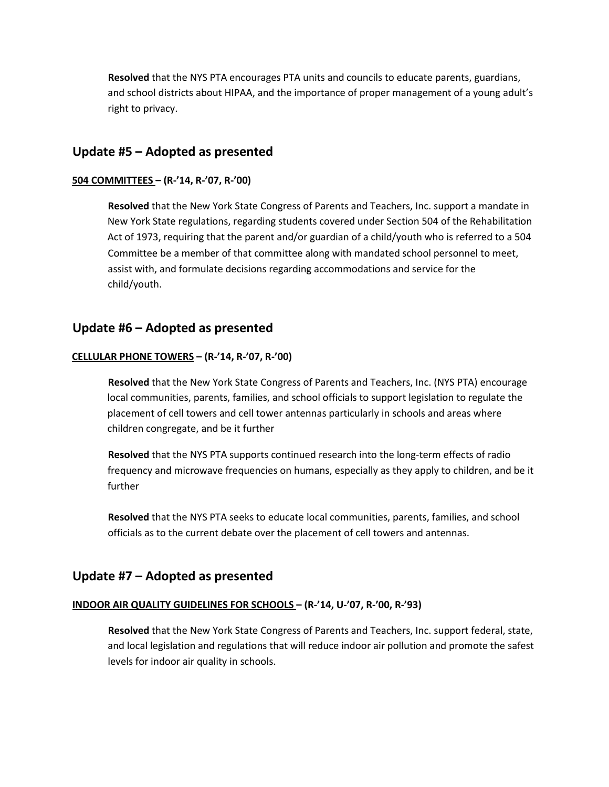**Resolved** that the NYS PTA encourages PTA units and councils to educate parents, guardians, and school districts about HIPAA, and the importance of proper management of a young adult's right to privacy.

# **Update #5 – Adopted as presented**

#### **504 COMMITTEES – (R-'14, R‐'07, R‐'00)**

**Resolved** that the New York State Congress of Parents and Teachers, Inc. support a mandate in New York State regulations, regarding students covered under Section 504 of the Rehabilitation Act of 1973, requiring that the parent and/or guardian of a child/youth who is referred to a 504 Committee be a member of that committee along with mandated school personnel to meet, assist with, and formulate decisions regarding accommodations and service for the child/youth.

# **Update #6 – Adopted as presented**

#### **CELLULAR PHONE TOWERS – (R-'14, R‐'07, R‐'00)**

**Resolved** that the New York State Congress of Parents and Teachers, Inc. (NYS PTA) encourage local communities, parents, families, and school officials to support legislation to regulate the placement of cell towers and cell tower antennas particularly in schools and areas where children congregate, and be it further

**Resolved** that the NYS PTA supports continued research into the long‐term effects of radio frequency and microwave frequencies on humans, especially as they apply to children, and be it further

**Resolved** that the NYS PTA seeks to educate local communities, parents, families, and school officials as to the current debate over the placement of cell towers and antennas.

## **Update #7 – Adopted as presented**

#### **INDOOR AIR QUALITY GUIDELINES FOR SCHOOLS – (R-'14, U‐'07, R‐'00, R‐'93)**

**Resolved** that the New York State Congress of Parents and Teachers, Inc. support federal, state, and local legislation and regulations that will reduce indoor air pollution and promote the safest levels for indoor air quality in schools.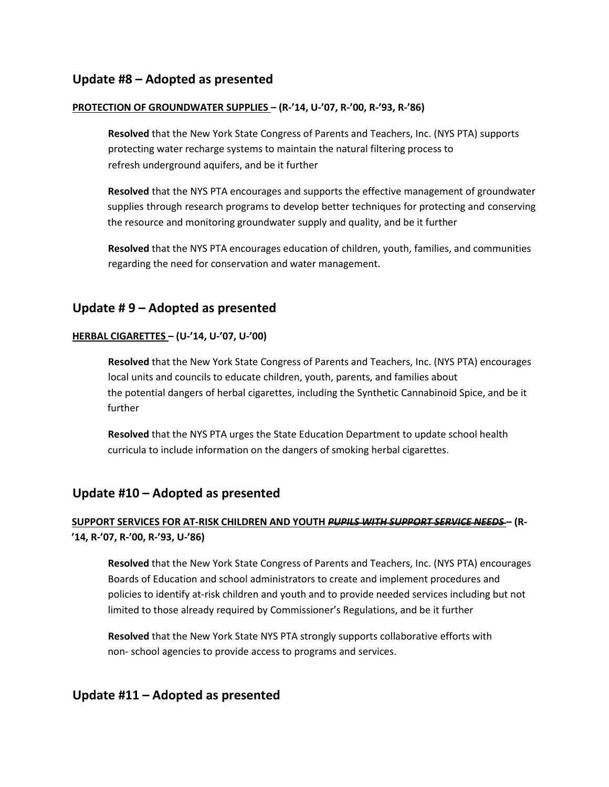# **Update #8 – Adopted as presented**

#### **PROTECTION OF GROUNDWATER SUPPLIES – (R-'14, U‐'07, R‐'00, R‐'93, R‐'86)**

**Resolved** that the New York State Congress of Parents and Teachers, Inc. (NYS PTA) supports protecting water recharge systems to maintain the natural filtering process to refresh underground aquifers, and be it further

**Resolved** that the NYS PTA encourages and supports the effective management of groundwater supplies through research programs to develop better techniques for protecting and conserving the resource and monitoring groundwater supply and quality, and be it further

**Resolved** that the NYS PTA encourages education of children, youth, families, and communities regarding the need for conservation and water management.

# **Update # 9 – Adopted as presented**

#### **HERBAL CIGARETTES – (U-'14, U‐'07, U‐'00)**

**Resolved** that the New York State Congress of Parents and Teachers, Inc. (NYS PTA) encourages local units and councils to educate children, youth, parents, and families about the potential dangers of herbal cigarettes, including the Synthetic Cannabinoid Spice, and be it further

**Resolved** that the NYS PTA urges the State Education Department to update school health curricula to include information on the dangers of smoking herbal cigarettes.

## **Update #10 – Adopted as presented**

# **SUPPORT SERVICES FOR AT-RISK CHILDREN AND YOUTH** *PUPILS WITH SUPPORT SERVICE NEEDS* **– (R- '14, R‐'07, R‐'00, R‐'93, U‐'86)**

**Resolved** that the New York State Congress of Parents and Teachers, Inc. (NYS PTA) encourages Boards of Education and school administrators to create and implement procedures and policies to identify at‐risk children and youth and to provide needed services including but not limited to those already required by Commissioner's Regulations, and be it further

**Resolved** that the New York State NYS PTA strongly supports collaborative efforts with non‐ school agencies to provide access to programs and services.

# **Update #11 – Adopted as presented**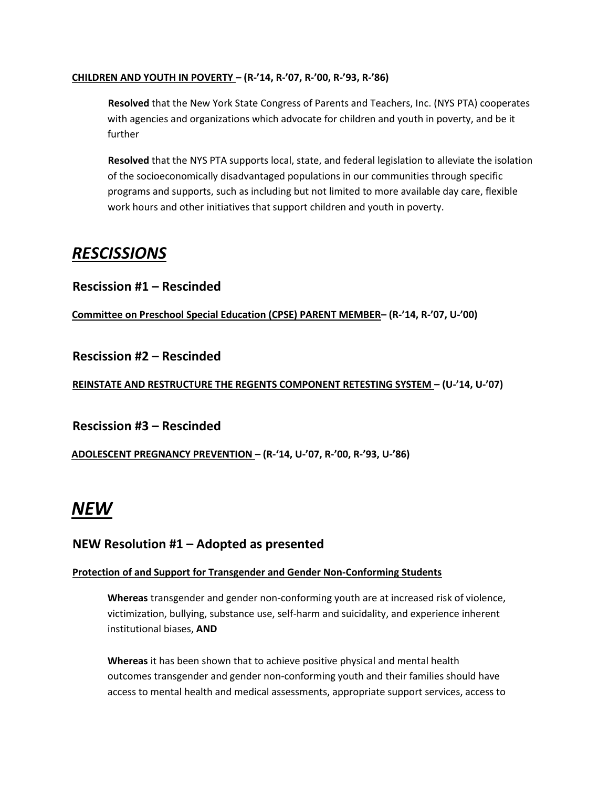#### **CHILDREN AND YOUTH IN POVERTY – (R-'14, R‐'07, R‐'00, R‐'93, R‐'86)**

**Resolved** that the New York State Congress of Parents and Teachers, Inc. (NYS PTA) cooperates with agencies and organizations which advocate for children and youth in poverty, and be it further

**Resolved** that the NYS PTA supports local, state, and federal legislation to alleviate the isolation of the socioeconomically disadvantaged populations in our communities through specific programs and supports, such as including but not limited to more available day care, flexible work hours and other initiatives that support children and youth in poverty.

# *RESCISSIONS*

**Rescission #1 – Rescinded** 

**Committee on Preschool Special Education (CPSE) PARENT MEMBER– (R-'14, R‐'07, U‐'00)** 

**Rescission #2 – Rescinded** 

**REINSTATE AND RESTRUCTURE THE REGENTS COMPONENT RETESTING SYSTEM – (U-'14, U‐'07)** 

**Rescission #3 – Rescinded** 

**ADOLESCENT PREGNANCY PREVENTION – (R-'14, U‐'07, R‐'00, R‐'93, U‐'86)** 

# *NEW*

# **NEW Resolution #1 – Adopted as presented**

## **Protection of and Support for Transgender and Gender Non-Conforming Students**

**Whereas** transgender and gender non-conforming youth are at increased risk of violence, victimization, bullying, substance use, self-harm and suicidality, and experience inherent institutional biases, **AND** 

**Whereas** it has been shown that to achieve positive physical and mental health outcomes transgender and gender non-conforming youth and their families should have access to mental health and medical assessments, appropriate support services, access to